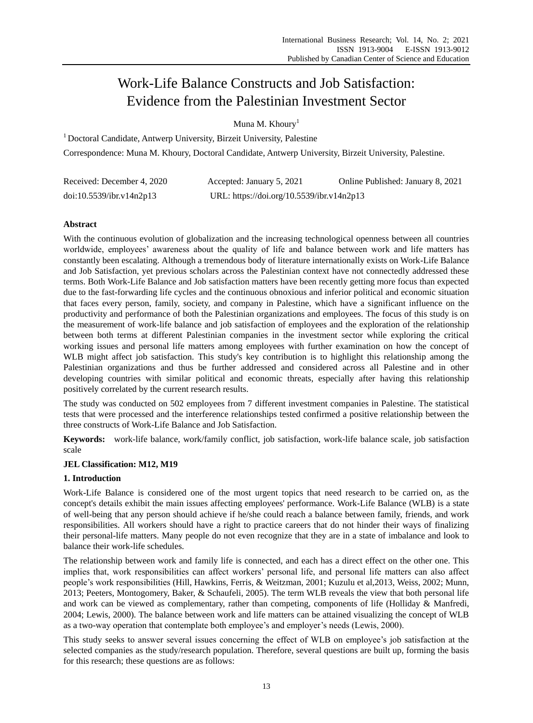# Work-Life Balance Constructs and Job Satisfaction: Evidence from the Palestinian Investment Sector

Muna M. Khoury<sup>1</sup>

<sup>1</sup> Doctoral Candidate, Antwerp University, Birzeit University, Palestine

Correspondence: Muna M. Khoury, Doctoral Candidate, Antwerp University, Birzeit University, Palestine.

| Received: December 4, 2020 | Accepted: January 5, 2021                 | Online Published: January 8, 2021 |
|----------------------------|-------------------------------------------|-----------------------------------|
| doi:10.5539/ibr.v14n2p13   | URL: https://doi.org/10.5539/ibr.v14n2p13 |                                   |

# **Abstract**

With the continuous evolution of globalization and the increasing technological openness between all countries worldwide, employees' awareness about the quality of life and balance between work and life matters has constantly been escalating. Although a tremendous body of literature internationally exists on Work-Life Balance and Job Satisfaction, yet previous scholars across the Palestinian context have not connectedly addressed these terms. Both Work-Life Balance and Job satisfaction matters have been recently getting more focus than expected due to the fast-forwarding life cycles and the continuous obnoxious and inferior political and economic situation that faces every person, family, society, and company in Palestine, which have a significant influence on the productivity and performance of both the Palestinian organizations and employees. The focus of this study is on the measurement of work-life balance and job satisfaction of employees and the exploration of the relationship between both terms at different Palestinian companies in the investment sector while exploring the critical working issues and personal life matters among employees with further examination on how the concept of WLB might affect job satisfaction. This study's key contribution is to highlight this relationship among the Palestinian organizations and thus be further addressed and considered across all Palestine and in other developing countries with similar political and economic threats, especially after having this relationship positively correlated by the current research results.

The study was conducted on 502 employees from 7 different investment companies in Palestine. The statistical tests that were processed and the interference relationships tested confirmed a positive relationship between the three constructs of Work-Life Balance and Job Satisfaction.

**Keywords:** work-life balance, work/family conflict, job satisfaction, work-life balance scale, job satisfaction scale

## **JEL Classification: M12, M19**

## **1. Introduction**

Work-Life Balance is considered one of the most urgent topics that need research to be carried on, as the concept's details exhibit the main issues affecting employees' performance. Work-Life Balance (WLB) is a state of well-being that any person should achieve if he/she could reach a balance between family, friends, and work responsibilities. All workers should have a right to practice careers that do not hinder their ways of finalizing their personal-life matters. Many people do not even recognize that they are in a state of imbalance and look to balance their work-life schedules.

The relationship between work and family life is connected, and each has a direct effect on the other one. This implies that, work responsibilities can affect workers' personal life, and personal life matters can also affect people's work responsibilities (Hill, Hawkins, Ferris, & Weitzman, 2001; Kuzulu et al,2013, Weiss, 2002; Munn, 2013; Peeters, Montogomery, Baker, & Schaufeli, 2005). The term WLB reveals the view that both personal life and work can be viewed as complementary, rather than competing, components of life (Holliday & Manfredi, 2004; Lewis, 2000). The balance between work and life matters can be attained visualizing the concept of WLB as a two-way operation that contemplate both employee's and employer's needs (Lewis, 2000).

This study seeks to answer several issues concerning the effect of WLB on employee's job satisfaction at the selected companies as the study/research population. Therefore, several questions are built up, forming the basis for this research; these questions are as follows: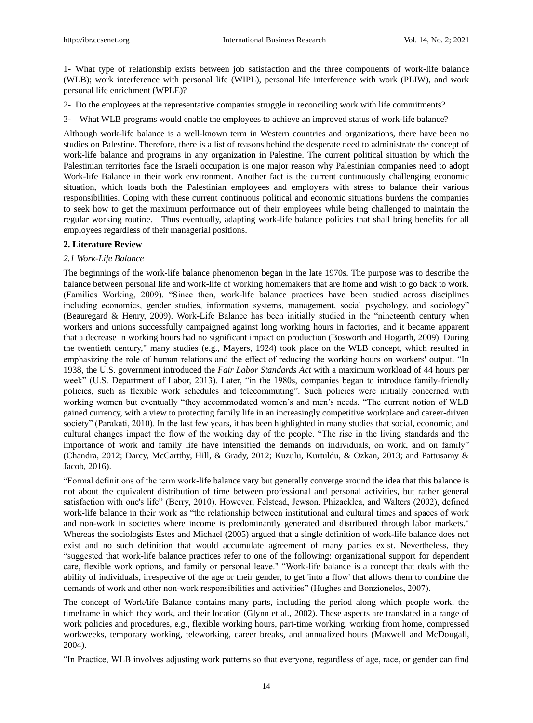1- What type of relationship exists between job satisfaction and the three components of work-life balance (WLB); work interference with personal life (WIPL), personal life interference with work (PLIW), and work personal life enrichment (WPLE)?

- 2- Do the employees at the representative companies struggle in reconciling work with life commitments?
- 3- What WLB programs would enable the employees to achieve an improved status of work-life balance?

Although work-life balance is a well-known term in Western countries and organizations, there have been no studies on Palestine. Therefore, there is a list of reasons behind the desperate need to administrate the concept of work-life balance and programs in any organization in Palestine. The current political situation by which the Palestinian territories face the Israeli occupation is one major reason why Palestinian companies need to adopt Work-life Balance in their work environment. Another fact is the current continuously challenging economic situation, which loads both the Palestinian employees and employers with stress to balance their various responsibilities. Coping with these current continuous political and economic situations burdens the companies to seek how to get the maximum performance out of their employees while being challenged to maintain the regular working routine. Thus eventually, adapting work-life balance policies that shall bring benefits for all employees regardless of their managerial positions.

## **2. Literature Review**

## *2.1 Work-Life Balance*

The beginnings of the work-life balance phenomenon began in the late 1970s. The purpose was to describe the balance between personal life and work-life of working homemakers that are home and wish to go back to work. (Families Working, 2009). "Since then, work-life balance practices have been studied across disciplines including economics, gender studies, information systems, management, social psychology, and sociology" (Beauregard & Henry, 2009). Work-Life Balance has been initially studied in the "nineteenth century when workers and unions successfully campaigned against long working hours in factories, and it became apparent that a decrease in working hours had no significant impact on production (Bosworth and Hogarth, 2009). During the twentieth century," many studies (e.g., Mayers, 1924) took place on the WLB concept, which resulted in emphasizing the role of human relations and the effect of reducing the working hours on workers' output. "In 1938, the U.S. government introduced the *Fair Labor Standards Act* with a maximum workload of 44 hours per week" (U.S. Department of Labor, 2013). Later, "in the 1980s, companies began to introduce family-friendly policies, such as flexible work schedules and telecommuting". Such policies were initially concerned with working women but eventually "they accommodated women's and men's needs. "The current notion of WLB gained currency, with a view to protecting family life in an increasingly competitive workplace and career-driven society" (Parakati, 2010). In the last few years, it has been highlighted in many studies that social, economic, and cultural changes impact the flow of the working day of the people. "The rise in the living standards and the importance of work and family life have intensified the demands on individuals, on work, and on family" (Chandra, 2012; Darcy, McCartthy, Hill, & Grady, 2012; Kuzulu, Kurtuldu, & Ozkan, 2013; and Pattusamy & Jacob, 2016).

―Formal definitions of the term work-life balance vary but generally converge around the idea that this balance is not about the equivalent distribution of time between professional and personal activities, but rather general satisfaction with one's life" (Berry, 2010). However, Felstead, Jewson, Phizacklea, and Walters (2002), defined work-life balance in their work as "the relationship between institutional and cultural times and spaces of work and non-work in societies where income is predominantly generated and distributed through labor markets." Whereas the sociologists Estes and Michael (2005) argued that a single definition of work-life balance does not exist and no such definition that would accumulate agreement of many parties exist. Nevertheless, they ―suggested that work-life balance practices refer to one of the following: organizational support for dependent care, flexible work options, and family or personal leave." "Work-life balance is a concept that deals with the ability of individuals, irrespective of the age or their gender, to get 'into a flow' that allows them to combine the demands of work and other non-work responsibilities and activities" (Hughes and Bonzionelos, 2007).

The concept of Work/life Balance contains many parts, including the period along which people work, the timeframe in which they work, and their location (Glynn et al., 2002). These aspects are translated in a range of work policies and procedures, e.g., flexible working hours, part-time working, working from home, compressed workweeks, temporary working, teleworking, career breaks, and annualized hours (Maxwell and McDougall, 2004).

―In Practice, WLB involves adjusting work patterns so that everyone, regardless of age, race, or gender can find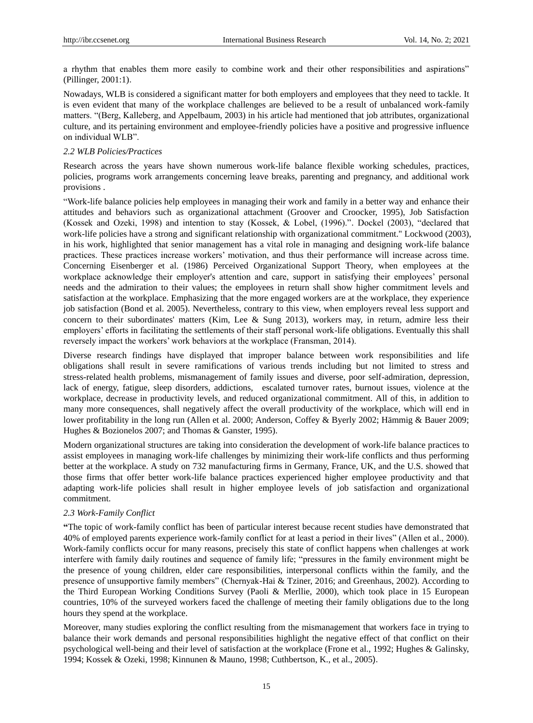a rhythm that enables them more easily to combine work and their other responsibilities and aspirations" (Pillinger, 2001:1).

Nowadays, WLB is considered a significant matter for both employers and employees that they need to tackle. It is even evident that many of the workplace challenges are believed to be a result of unbalanced work-family matters. "(Berg, Kalleberg, and Appelbaum, 2003) in his article had mentioned that job attributes, organizational culture, and its pertaining environment and employee-friendly policies have a positive and progressive influence on individual WLB".

## *2.2 WLB Policies/Practices*

Research across the years have shown numerous work-life balance flexible working schedules, practices, policies, programs work arrangements concerning leave breaks, parenting and pregnancy, and additional work provisions .

―Work-life balance policies help employees in managing their work and family in a better way and enhance their attitudes and behaviors such as organizational attachment (Groover and Croocker, 1995), Job Satisfaction (Kossek and Ozeki, 1998) and intention to stay (Kossek, & Lobel, (1996).". Dockel (2003), "declared that work-life policies have a strong and significant relationship with organizational commitment." Lockwood (2003), in his work, highlighted that senior management has a vital role in managing and designing work-life balance practices. These practices increase workers' motivation, and thus their performance will increase across time. Concerning Eisenberger et al. (1986) Perceived Organizational Support Theory, when employees at the workplace acknowledge their employer's attention and care, support in satisfying their employees' personal needs and the admiration to their values; the employees in return shall show higher commitment levels and satisfaction at the workplace. Emphasizing that the more engaged workers are at the workplace, they experience job satisfaction (Bond et al. 2005). Nevertheless, contrary to this view, when employers reveal less support and concern to their subordinates' matters (Kim, Lee & Sung 2013), workers may, in return, admire less their employers' efforts in facilitating the settlements of their staff personal work-life obligations. Eventually this shall reversely impact the workers' work behaviors at the workplace (Fransman, 2014).

Diverse research findings have displayed that improper balance between work responsibilities and life obligations shall result in severe ramifications of various trends including but not limited to stress and stress-related health problems, mismanagement of family issues and diverse, poor self-admiration, depression, lack of energy, fatigue, sleep disorders, addictions, escalated turnover rates, burnout issues, violence at the workplace, decrease in productivity levels, and reduced organizational commitment. All of this, in addition to many more consequences, shall negatively affect the overall productivity of the workplace, which will end in lower profitability in the long run (Allen et al. 2000; Anderson, Coffey & Byerly 2002; Hämmig & Bauer 2009; Hughes & Bozionelos 2007; and Thomas & Ganster, 1995).

Modern organizational structures are taking into consideration the development of work-life balance practices to assist employees in managing work-life challenges by minimizing their work-life conflicts and thus performing better at the workplace. A study on 732 manufacturing firms in Germany, France, UK, and the U.S. showed that those firms that offer better work-life balance practices experienced higher employee productivity and that adapting work-life policies shall result in higher employee levels of job satisfaction and organizational commitment.

## *2.3 Work-Family Conflict*

**"**The topic of work-family conflict has been of particular interest because recent studies have demonstrated that 40% of employed parents experience work-family conflict for at least a period in their lives" (Allen et al., 2000). Work-family conflicts occur for many reasons, precisely this state of conflict happens when challenges at work interfere with family daily routines and sequence of family life; "pressures in the family environment might be the presence of young children, elder care responsibilities, interpersonal conflicts within the family, and the presence of unsupportive family members" (Chernyak-Hai & Tziner, 2016; and Greenhaus, 2002). According to the Third European Working Conditions Survey (Paoli & Merllie, 2000), which took place in 15 European countries, 10% of the surveyed workers faced the challenge of meeting their family obligations due to the long hours they spend at the workplace.

Moreover, many studies exploring the conflict resulting from the mismanagement that workers face in trying to balance their work demands and personal responsibilities highlight the negative effect of that conflict on their psychological well-being and their level of satisfaction at the workplace (Frone et al., 1992; Hughes & Galinsky, 1994; Kossek & Ozeki, 1998; Kinnunen & Mauno, 1998; Cuthbertson, K., et al., 2005).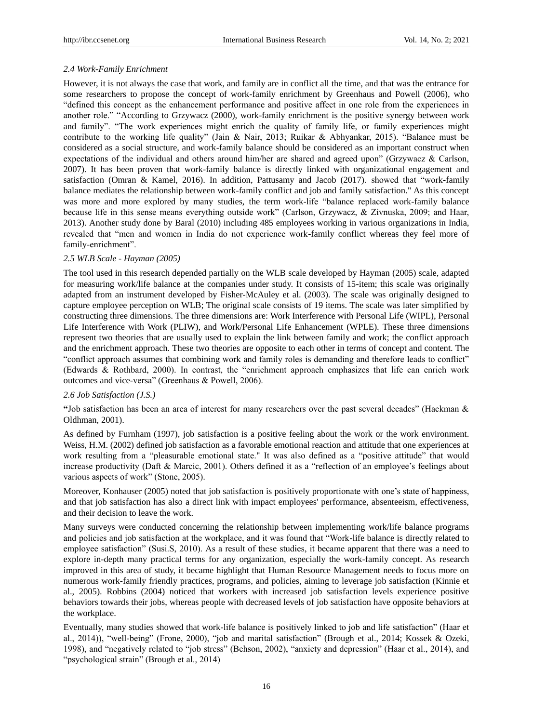## *2.4 Work-Family Enrichment*

However, it is not always the case that work, and family are in conflict all the time, and that was the entrance for some researchers to propose the concept of work-family enrichment by Greenhaus and Powell (2006), who ―defined this concept as the enhancement performance and positive affect in one role from the experiences in another role." "According to Grzywacz (2000), work-family enrichment is the positive synergy between work and family". "The work experiences might enrich the quality of family life, or family experiences might contribute to the working life quality" (Jain & Nair, 2013; Ruikar & Abhyankar, 2015). "Balance must be considered as a social structure, and work-family balance should be considered as an important construct when expectations of the individual and others around him/her are shared and agreed upon" (Grzywacz & Carlson, 2007). It has been proven that work-family balance is directly linked with organizational engagement and satisfaction (Omran & Kamel, 2016). In addition, Pattusamy and Jacob (2017). showed that "work-family balance mediates the relationship between work-family conflict and job and family satisfaction." As this concept was more and more explored by many studies, the term work-life "balance replaced work-family balance because life in this sense means everything outside work" (Carlson, Grzywacz, & Zivnuska, 2009; and Haar, 2013). Another study done by Baral (2010) including 485 employees working in various organizations in India, revealed that "men and women in India do not experience work-family conflict whereas they feel more of family-enrichment".

## *2.5 WLB Scale - Hayman (2005)*

The tool used in this research depended partially on the WLB scale developed by Hayman (2005) scale, adapted for measuring work/life balance at the companies under study. It consists of 15-item; this scale was originally adapted from an instrument developed by Fisher-McAuley et al. (2003). The scale was originally designed to capture employee perception on WLB; The original scale consists of 19 items. The scale was later simplified by constructing three dimensions. The three dimensions are: Work Interference with Personal Life (WIPL), Personal Life Interference with Work (PLIW), and Work/Personal Life Enhancement (WPLE). These three dimensions represent two theories that are usually used to explain the link between family and work; the conflict approach and the enrichment approach. These two theories are opposite to each other in terms of concept and content. The "conflict approach assumes that combining work and family roles is demanding and therefore leads to conflict" (Edwards & Rothbard, 2000). In contrast, the "enrichment approach emphasizes that life can enrich work outcomes and vice-versa" (Greenhaus & Powell, 2006).

#### *2.6 Job Satisfaction (J.S.)*

**"**Job satisfaction has been an area of interest for many researchers over the past several decades‖ (Hackman & Oldhman, 2001).

As defined by Furnham (1997), job satisfaction is a positive feeling about the work or the work environment. Weiss, H.M. (2002) defined job satisfaction as a favorable emotional reaction and attitude that one experiences at work resulting from a "pleasurable emotional state." It was also defined as a "positive attitude" that would increase productivity (Daft & Marcic, 2001). Others defined it as a "reflection of an employee's feelings about various aspects of work" (Stone, 2005).

Moreover, Konhauser (2005) noted that job satisfaction is positively proportionate with one's state of happiness, and that job satisfaction has also a direct link with impact employees' performance, absenteeism, effectiveness, and their decision to leave the work.

Many surveys were conducted concerning the relationship between implementing work/life balance programs and policies and job satisfaction at the workplace, and it was found that "Work-life balance is directly related to employee satisfaction" (Susi.S, 2010). As a result of these studies, it became apparent that there was a need to explore in-depth many practical terms for any organization, especially the work-family concept. As research improved in this area of study, it became highlight that Human Resource Management needs to focus more on numerous work-family friendly practices, programs, and policies, aiming to leverage job satisfaction (Kinnie et al., 2005). Robbins (2004) noticed that workers with increased job satisfaction levels experience positive behaviors towards their jobs, whereas people with decreased levels of job satisfaction have opposite behaviors at the workplace.

Eventually, many studies showed that work-life balance is positively linked to job and life satisfaction" (Haar et al., 2014)), "well-being" (Frone, 2000), "job and marital satisfaction" (Brough et al., 2014; Kossek & Ozeki, 1998), and "negatively related to "job stress" (Behson, 2002), "anxiety and depression" (Haar et al., 2014), and ―psychological strain‖ (Brough et al., 2014)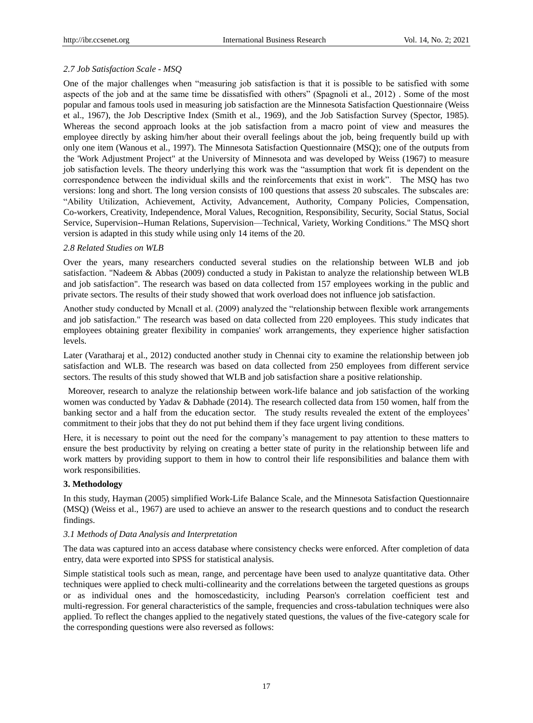## *2.7 Job Satisfaction Scale - MSQ*

One of the major challenges when "measuring job satisfaction is that it is possible to be satisfied with some aspects of the job and at the same time be dissatisfied with others" (Spagnoli et al., 2012). Some of the most popular and famous tools used in measuring job satisfaction are the Minnesota Satisfaction Questionnaire (Weiss et al., 1967), the Job Descriptive Index (Smith et al., 1969), and the Job Satisfaction Survey (Spector, 1985). Whereas the second approach looks at the job satisfaction from a macro point of view and measures the employee directly by asking him/her about their overall feelings about the job, being frequently build up with only one item (Wanous et al., 1997). The Minnesota Satisfaction Questionnaire (MSQ); one of the outputs from the 'Work Adjustment Project" at the University of Minnesota and was developed by Weiss (1967) to measure job satisfaction levels. The theory underlying this work was the "assumption that work fit is dependent on the correspondence between the individual skills and the reinforcements that exist in work". The MSQ has two versions: long and short. The long version consists of 100 questions that assess 20 subscales. The subscales are: ―Ability Utilization, Achievement, Activity, Advancement, Authority, Company Policies, Compensation, Co-workers, Creativity, Independence, Moral Values, Recognition, Responsibility, Security, Social Status, Social Service, Supervision--Human Relations, Supervision—Technical, Variety, Working Conditions." The MSQ short version is adapted in this study while using only 14 items of the 20.

#### *2.8 Related Studies on WLB*

Over the years, many researchers conducted several studies on the relationship between WLB and job satisfaction. "Nadeem & Abbas (2009) conducted a study in Pakistan to analyze the relationship between WLB and job satisfaction". The research was based on data collected from 157 employees working in the public and private sectors. The results of their study showed that work overload does not influence job satisfaction.

Another study conducted by Mcnall et al. (2009) analyzed the "relationship between flexible work arrangements and job satisfaction." The research was based on data collected from 220 employees. This study indicates that employees obtaining greater flexibility in companies' work arrangements, they experience higher satisfaction levels.

Later (Varatharaj et al., 2012) conducted another study in Chennai city to examine the relationship between job satisfaction and WLB. The research was based on data collected from 250 employees from different service sectors. The results of this study showed that WLB and job satisfaction share a positive relationship.

Moreover, research to analyze the relationship between work-life balance and job satisfaction of the working women was conducted by Yadav & Dabhade (2014). The research collected data from 150 women, half from the banking sector and a half from the education sector. The study results revealed the extent of the employees' commitment to their jobs that they do not put behind them if they face urgent living conditions.

Here, it is necessary to point out the need for the company's management to pay attention to these matters to ensure the best productivity by relying on creating a better state of purity in the relationship between life and work matters by providing support to them in how to control their life responsibilities and balance them with work responsibilities.

## **3. Methodology**

In this study, Hayman (2005) simplified Work-Life Balance Scale, and the Minnesota Satisfaction Questionnaire (MSQ) (Weiss et al., 1967) are used to achieve an answer to the research questions and to conduct the research findings.

#### *3.1 Methods of Data Analysis and Interpretation*

The data was captured into an access database where consistency checks were enforced. After completion of data entry, data were exported into SPSS for statistical analysis.

Simple statistical tools such as mean, range, and percentage have been used to analyze quantitative data. Other techniques were applied to check multi-collinearity and the correlations between the targeted questions as groups or as individual ones and the homoscedasticity, including Pearson's correlation coefficient test and multi-regression. For general characteristics of the sample, frequencies and cross-tabulation techniques were also applied. To reflect the changes applied to the negatively stated questions, the values of the five-category scale for the corresponding questions were also reversed as follows: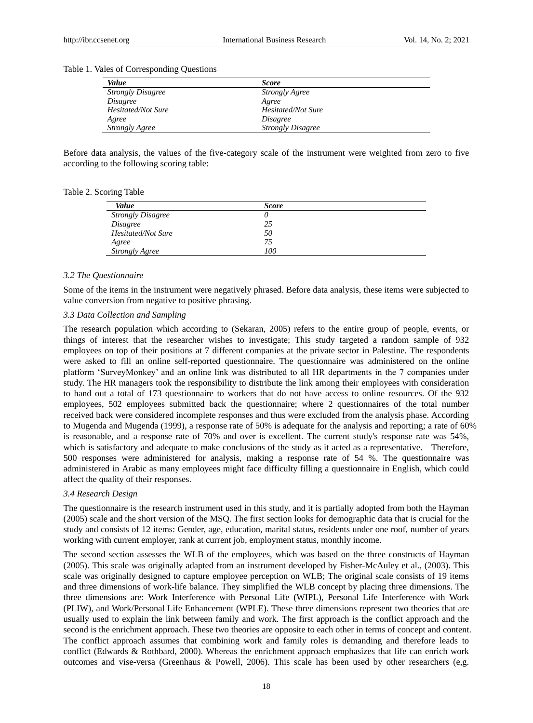| Value                    | <b>Score</b>             |
|--------------------------|--------------------------|
| <b>Strongly Disagree</b> | <b>Strongly Agree</b>    |
| <i>Disagree</i>          | Agree                    |
| Hesitated/Not Sure       | Hesitated/Not Sure       |
| Agree                    | Disagree                 |
| <b>Strongly Agree</b>    | <b>Strongly Disagree</b> |

Table 1. Vales of Corresponding Questions

Before data analysis, the values of the five-category scale of the instrument were weighted from zero to five according to the following scoring table:

Table 2. Scoring Table

| Value                    | <b>Score</b> |  |
|--------------------------|--------------|--|
| <b>Strongly Disagree</b> |              |  |
| Disagree                 | 25           |  |
| Hesitated/Not Sure       | 50           |  |
| Agree                    | 75           |  |
| <b>Strongly Agree</b>    | 100          |  |

#### *3.2 The Questionnaire*

Some of the items in the instrument were negatively phrased. Before data analysis, these items were subjected to value conversion from negative to positive phrasing.

#### *3.3 Data Collection and Sampling*

The research population which according to (Sekaran, 2005) refers to the entire group of people, events, or things of interest that the researcher wishes to investigate; This study targeted a random sample of 932 employees on top of their positions at 7 different companies at the private sector in Palestine. The respondents were asked to fill an online self-reported questionnaire. The questionnaire was administered on the online platform ‗SurveyMonkey' and an online link was distributed to all HR departments in the 7 companies under study. The HR managers took the responsibility to distribute the link among their employees with consideration to hand out a total of 173 questionnaire to workers that do not have access to online resources. Of the 932 employees, 502 employees submitted back the questionnaire; where 2 questionnaires of the total number received back were considered incomplete responses and thus were excluded from the analysis phase. According to Mugenda and Mugenda (1999), a response rate of 50% is adequate for the analysis and reporting; a rate of 60% is reasonable, and a response rate of 70% and over is excellent. The current study's response rate was 54%, which is satisfactory and adequate to make conclusions of the study as it acted as a representative. Therefore, 500 responses were administered for analysis, making a response rate of 54 %*.* The questionnaire was administered in Arabic as many employees might face difficulty filling a questionnaire in English, which could affect the quality of their responses.

#### *3.4 Research Design*

The questionnaire is the research instrument used in this study, and it is partially adopted from both the Hayman (2005) scale and the short version of the MSQ. The first section looks for demographic data that is crucial for the study and consists of 12 items: Gender, age, education, marital status, residents under one roof, number of years working with current employer, rank at current job, employment status, monthly income.

The second section assesses the WLB of the employees, which was based on the three constructs of Hayman (2005). This scale was originally adapted from an instrument developed by Fisher-McAuley et al., (2003). This scale was originally designed to capture employee perception on WLB; The original scale consists of 19 items and three dimensions of work-life balance. They simplified the WLB concept by placing three dimensions. The three dimensions are: Work Interference with Personal Life (WIPL), Personal Life Interference with Work (PLIW), and Work/Personal Life Enhancement (WPLE). These three dimensions represent two theories that are usually used to explain the link between family and work. The first approach is the conflict approach and the second is the enrichment approach. These two theories are opposite to each other in terms of concept and content. The conflict approach assumes that combining work and family roles is demanding and therefore leads to conflict (Edwards & Rothbard, 2000). Whereas the enrichment approach emphasizes that life can enrich work outcomes and vise-versa (Greenhaus & Powell, 2006). This scale has been used by other researchers (e,g.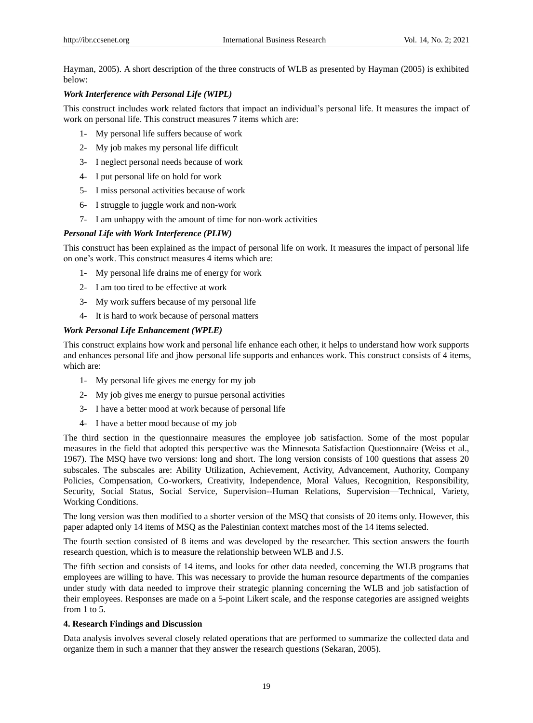Hayman, 2005). A short description of the three constructs of WLB as presented by Hayman (2005) is exhibited below:

## *Work Interference with Personal Life (WIPL)*

This construct includes work related factors that impact an individual's personal life. It measures the impact of work on personal life. This construct measures 7 items which are:

- 1- My personal life suffers because of work
- 2- My job makes my personal life difficult
- 3- I neglect personal needs because of work
- 4- I put personal life on hold for work
- 5- I miss personal activities because of work
- 6- I struggle to juggle work and non-work
- 7- I am unhappy with the amount of time for non-work activities

# *Personal Life with Work Interference (PLIW)*

This construct has been explained as the impact of personal life on work. It measures the impact of personal life on one's work. This construct measures 4 items which are:

- 1- My personal life drains me of energy for work
- 2- I am too tired to be effective at work
- 3- My work suffers because of my personal life
- 4- It is hard to work because of personal matters

## *Work Personal Life Enhancement (WPLE)*

This construct explains how work and personal life enhance each other, it helps to understand how work supports and enhances personal life and jhow personal life supports and enhances work. This construct consists of 4 items, which are:

- 1- My personal life gives me energy for my job
- 2- My job gives me energy to pursue personal activities
- 3- I have a better mood at work because of personal life
- 4- I have a better mood because of my job

The third section in the questionnaire measures the employee job satisfaction. Some of the most popular measures in the field that adopted this perspective was the Minnesota Satisfaction Questionnaire (Weiss et al., 1967). The MSQ have two versions: long and short. The long version consists of 100 questions that assess 20 subscales. The subscales are: Ability Utilization, Achievement, Activity, Advancement, Authority, Company Policies, Compensation, Co-workers, Creativity, Independence, Moral Values, Recognition, Responsibility, Security, Social Status, Social Service, Supervision--Human Relations, Supervision—Technical, Variety, Working Conditions.

The long version was then modified to a shorter version of the MSQ that consists of 20 items only. However, this paper adapted only 14 items of MSQ as the Palestinian context matches most of the 14 items selected.

The fourth section consisted of 8 items and was developed by the researcher. This section answers the fourth research question, which is to measure the relationship between WLB and J.S.

The fifth section and consists of 14 items, and looks for other data needed, concerning the WLB programs that employees are willing to have. This was necessary to provide the human resource departments of the companies under study with data needed to improve their strategic planning concerning the WLB and job satisfaction of their employees. Responses are made on a 5-point Likert scale, and the response categories are assigned weights from 1 to 5.

## **4. Research Findings and Discussion**

Data analysis involves several closely related operations that are performed to summarize the collected data and organize them in such a manner that they answer the research questions (Sekaran, 2005).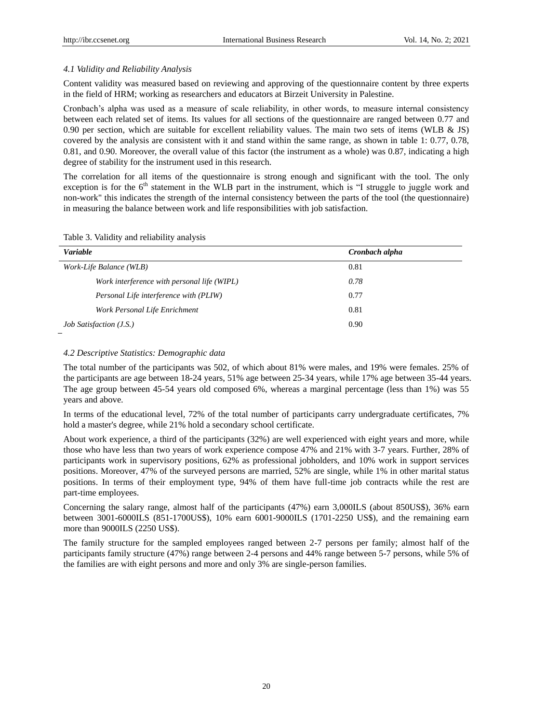## *4.1 Validity and Reliability Analysis*

Content validity was measured based on reviewing and approving of the questionnaire content by three experts in the field of HRM; working as researchers and educators at Birzeit University in Palestine.

Cronbach's alpha was used as a measure of scale reliability, in other words, to measure internal consistency between each related set of items. Its values for all sections of the questionnaire are ranged between 0.77 and 0.90 per section, which are suitable for excellent reliability values. The main two sets of items (WLB & JS) covered by the analysis are consistent with it and stand within the same range, as shown in table 1: 0.77, 0.78, 0.81, and 0.90. Moreover, the overall value of this factor (the instrument as a whole) was 0.87, indicating a high degree of stability for the instrument used in this research.

The correlation for all items of the questionnaire is strong enough and significant with the tool. The only exception is for the 6<sup>th</sup> statement in the WLB part in the instrument, which is "I struggle to juggle work and non-work" this indicates the strength of the internal consistency between the parts of the tool (the questionnaire) in measuring the balance between work and life responsibilities with job satisfaction.

| <b>Variable</b>                             | Cronbach alpha |
|---------------------------------------------|----------------|
| Work-Life Balance (WLB)                     | 0.81           |
| Work interference with personal life (WIPL) | 0.78           |
| Personal Life interference with (PLIW)      | 0.77           |
| Work Personal Life Enrichment               | 0.81           |
| <i>Job Satisfaction (J.S.)</i>              | 0.90           |

# Table 3. Validity and reliability analysis

#### *4.2 Descriptive Statistics: Demographic data*

The total number of the participants was 502, of which about 81% were males, and 19% were females. 25% of the participants are age between 18-24 years, 51% age between 25-34 years, while 17% age between 35-44 years. The age group between 45-54 years old composed 6%, whereas a marginal percentage (less than 1%) was 55 years and above.

In terms of the educational level, 72% of the total number of participants carry undergraduate certificates, 7% hold a master's degree, while 21% hold a secondary school certificate.

About work experience, a third of the participants (32%) are well experienced with eight years and more, while those who have less than two years of work experience compose 47% and 21% with 3-7 years. Further, 28% of participants work in supervisory positions, 62% as professional jobholders, and 10% work in support services positions. Moreover, 47% of the surveyed persons are married, 52% are single, while 1% in other marital status positions. In terms of their employment type, 94% of them have full-time job contracts while the rest are part-time employees.

Concerning the salary range, almost half of the participants (47%) earn 3,000ILS (about 850US\$), 36% earn between 3001-6000ILS (851-1700US\$), 10% earn 6001-9000ILS (1701-2250 US\$), and the remaining earn more than 9000ILS (2250 US\$).

The family structure for the sampled employees ranged between 2-7 persons per family; almost half of the participants family structure (47%) range between 2-4 persons and 44% range between 5-7 persons, while 5% of the families are with eight persons and more and only 3% are single-person families.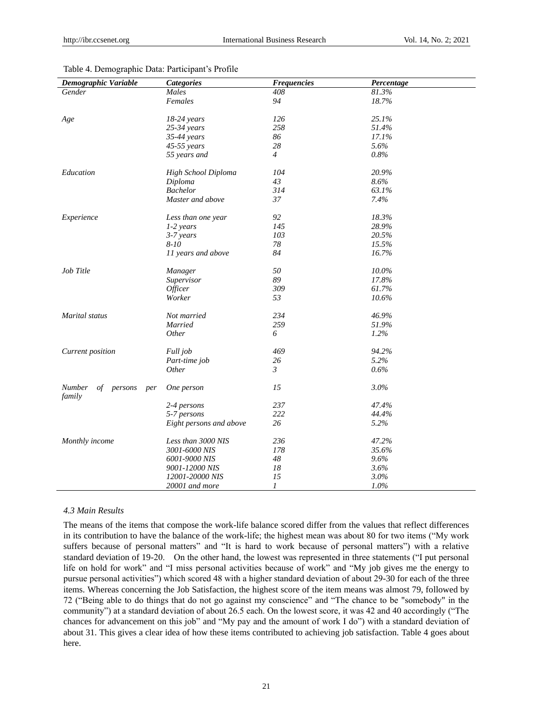| Demographic Variable                     | <b>Categories</b>       | <b>Frequencies</b> | Percentage |
|------------------------------------------|-------------------------|--------------------|------------|
| Gender                                   | Males                   | 408                | 81.3%      |
|                                          | Females                 | 94                 | 18.7%      |
|                                          |                         |                    |            |
| Age                                      | $18-24$ years           | 126                | 25.1%      |
|                                          | $25-34$ years           | 258                | 51.4%      |
|                                          | 35-44 years             | 86                 | 17.1%      |
|                                          | $45-55$ years           | 28                 | 5.6%       |
|                                          | 55 years and            | $\overline{4}$     | 0.8%       |
| Education                                | High School Diploma     | 104                | 20.9%      |
|                                          | Diploma                 | 43                 | 8.6%       |
|                                          | <b>Bachelor</b>         | 314                | 63.1%      |
|                                          | Master and above        | 37                 | 7.4%       |
|                                          |                         |                    |            |
| Experience                               | Less than one year      | 92                 | 18.3%      |
|                                          | 1-2 years               | 145                | 28.9%      |
|                                          | 3-7 years               | 103                | 20.5%      |
|                                          | 8-10                    | 78                 | 15.5%      |
|                                          | 11 years and above      | 84                 | 16.7%      |
|                                          |                         |                    |            |
| Job Title                                | Manager                 | 50                 | $10.0\%$   |
|                                          | Supervisor              | 89                 | 17.8%      |
|                                          | <i>Officer</i>          | 309                | 61.7%      |
|                                          | Worker                  | 53                 | 10.6%      |
| Marital status                           | Not married             | 234                | 46.9%      |
|                                          | Married                 | 259                | 51.9%      |
|                                          | <i>Other</i>            | 6                  | 1.2%       |
|                                          |                         |                    |            |
| Current position                         | Full job                | 469                | 94.2%      |
|                                          | Part-time job           | 26                 | 5.2%       |
|                                          | <i>Other</i>            | $\mathfrak{Z}$     | 0.6%       |
| Number<br>of<br>persons<br>per<br>family | One person              | 15                 | 3.0%       |
|                                          | 2-4 persons             | 237                | 47.4%      |
|                                          | 5-7 persons             | 222                | 44.4%      |
|                                          | Eight persons and above | 26                 | 5.2%       |
|                                          |                         |                    |            |
| Monthly income                           | Less than 3000 NIS      | 236                | 47.2%      |
|                                          | 3001-6000 NIS           | 178                | 35.6%      |
|                                          | 6001-9000 NIS           | 48                 | 9.6%       |
|                                          | 9001-12000 NIS          | 18                 | 3.6%       |
|                                          | 12001-20000 NIS         | 15                 | 3.0%       |
|                                          | 20001 and more          | 1                  | 1.0%       |

#### Table 4. Demographic Data: Participant's Profile

## *4.3 Main Results*

The means of the items that compose the work-life balance scored differ from the values that reflect differences in its contribution to have the balance of the work-life; the highest mean was about 80 for two items ("My work suffers because of personal matters" and "It is hard to work because of personal matters") with a relative standard deviation of 19-20. On the other hand, the lowest was represented in three statements ("I put personal life on hold for work" and "I miss personal activities because of work" and "My job gives me the energy to pursue personal activities‖) which scored 48 with a higher standard deviation of about 29-30 for each of the three items. Whereas concerning the Job Satisfaction, the highest score of the item means was almost 79, followed by 72 ("Being able to do things that do not go against my conscience" and "The chance to be "somebody" in the community") at a standard deviation of about 26.5 each. On the lowest score, it was 42 and 40 accordingly ("The chances for advancement on this job" and "My pay and the amount of work I do") with a standard deviation of about 31. This gives a clear idea of how these items contributed to achieving job satisfaction. Table 4 goes about here.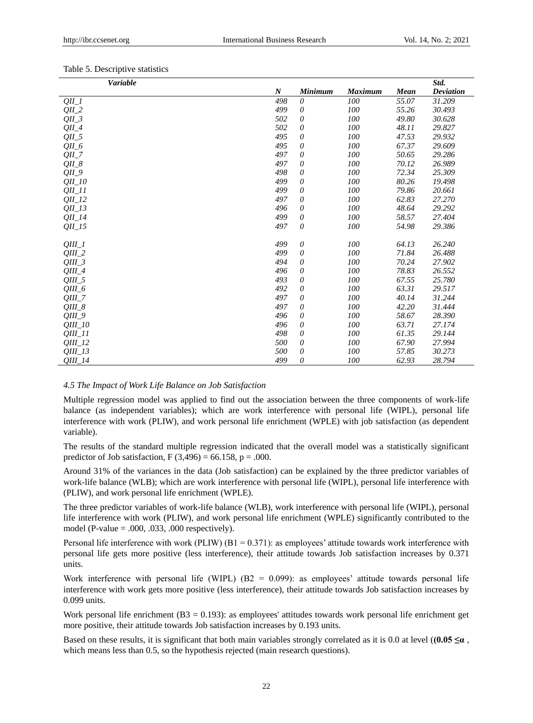| Variable              |                  |                |                |             | Std.             |
|-----------------------|------------------|----------------|----------------|-------------|------------------|
|                       | $\boldsymbol{N}$ | <b>Minimum</b> | <b>Maximum</b> | <b>Mean</b> | <b>Deviation</b> |
| $QII_l$               | 498              | $\theta$       | 100            | 55.07       | 31.209           |
| $QII_2$               | 499              | $\theta$       | 100            | 55.26       | 30.493           |
| $QII_3$               | 502              | 0              | 100            | 49.80       | 30.628           |
| $QII_4$               | 502              | $\theta$       | 100            | 48.11       | 29.827           |
| $QII_5$               | 495              | 0              | 100            | 47.53       | 29.932           |
| $OII_6$               | 495              | 0              | 100            | 67.37       | 29.609           |
| $OII_7$               | 497              | 0              | 100            | 50.65       | 29.286           |
| $QII_8$               | 497              | 0              | 100            | 70.12       | 26.989           |
| $QII_9$               | 498              | $\theta$       | 100            | 72.34       | 25.309           |
| $QII_1$ 10            | 499              | 0              | 100            | 80.26       | 19.498           |
| $QII$ <sub>11</sub>   | 499              | $\theta$       | 100            | 79.86       | 20.661           |
| $QII_12$              | 497              | 0              | 100            | 62.83       | 27.270           |
| $OII_13$              | 496              | 0              | 100            | 48.64       | 29.292           |
| $QII_14$              | 499              | 0              | 100            | 58.57       | 27.404           |
| $QII$ <sub>-15</sub>  | 497              | 0              | 100            | 54.98       | 29.386           |
|                       |                  |                |                |             |                  |
| OIII 1                | 499              | $\theta$       | 100            | 64.13       | 26.240           |
| $QIII_2$              | 499              | 0              | 100            | 71.84       | 26.488           |
| $QIII_3$              | 494              | 0              | 100            | 70.24       | 27.902           |
| $QIII_4$              | 496              | 0              | 100            | 78.83       | 26.552           |
| $QIII_5$              | 493              | 0              | 100            | 67.55       | 25.780           |
| $QIII_6$              | 492              | $\theta$       | 100            | 63.31       | 29.517           |
| $OIII_7$              | 497              | 0              | 100            | 40.14       | 31.244           |
| $QIII_8$              | 497              | $\theta$       | 100            | 42.20       | 31.444           |
| $QIII_9$              | 496              | 0              | 100            | 58.67       | 28.390           |
| <i><b>OIII</b></i> 10 | 496              | 0              | 100            | 63.71       | 27.174           |
| $QIII_11$             | 498              | 0              | 100            | 61.35       | 29.144           |
| $QIII_12$             | 500              | 0              | 100            | 67.90       | 27.994           |
| $QIII_13$             | 500              | 0              | 100            | 57.85       | 30.273           |
| $QIII_14$             | 499              | 0              | 100            | 62.93       | 28.794           |

## *4.5 The Impact of Work Life Balance on Job Satisfaction*

Multiple regression model was applied to find out the association between the three components of work-life balance (as independent variables); which are work interference with personal life (WIPL), personal life interference with work (PLIW), and work personal life enrichment (WPLE) with job satisfaction (as dependent variable).

The results of the standard multiple regression indicated that the overall model was a statistically significant predictor of Job satisfaction,  $F(3,496) = 66.158$ ,  $p = .000$ .

Around 31% of the variances in the data (Job satisfaction) can be explained by the three predictor variables of work-life balance (WLB); which are work interference with personal life (WIPL), personal life interference with (PLIW), and work personal life enrichment (WPLE).

The three predictor variables of work-life balance (WLB), work interference with personal life (WIPL), personal life interference with work (PLIW), and work personal life enrichment (WPLE) significantly contributed to the model (P-value = .000, .033, .000 respectively).

Personal life interference with work (PLIW) ( $B1 = 0.371$ ): as employees' attitude towards work interference with personal life gets more positive (less interference), their attitude towards Job satisfaction increases by 0.371 units.

Work interference with personal life (WIPL)  $(B2 = 0.099)$ : as employees' attitude towards personal life interference with work gets more positive (less interference), their attitude towards Job satisfaction increases by 0.099 units.

Work personal life enrichment (B3 = 0.193): as employees' attitudes towards work personal life enrichment get more positive, their attitude towards Job satisfaction increases by 0.193 units.

Based on these results, it is significant that both main variables strongly correlated as it is 0.0 at level ( $(0.05 \le \alpha$ , which means less than 0.5, so the hypothesis rejected (main research questions).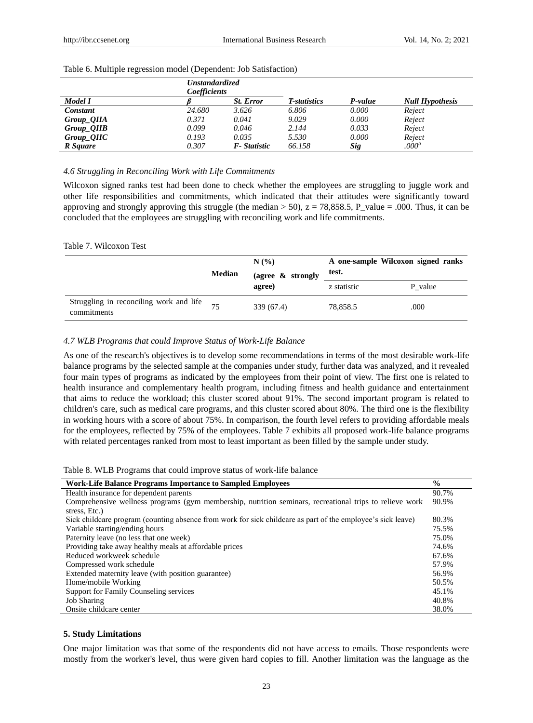|                   | <b>Unstandardized</b><br>Coefficients |                  |              |         |                        |
|-------------------|---------------------------------------|------------------|--------------|---------|------------------------|
| Model I           |                                       | <b>St.</b> Error | T-statistics | P-value | <b>Null Hypothesis</b> |
| Constant          | 24.680                                | 3.626            | 6.806        | 0.000   | Reject                 |
| Group <i>OIIA</i> | 0.371                                 | 0.041            | 9.029        | 0.000   | Reject                 |
| Group_QIIB        | 0.099                                 | 0.046            | 2.144        | 0.033   | Reject                 |
| Group_QIIC        | 0.193                                 | 0.035            | 5.530        | 0.000   | Reject                 |
| R Square          | 0.307                                 | F-Statistic      | 66.158       | Sig     | .000 <sup>b</sup>      |

#### Table 6. Multiple regression model (Dependent: Job Satisfaction)

#### *4.6 Struggling in Reconciling Work with Life Commitments*

Wilcoxon signed ranks test had been done to check whether the employees are struggling to juggle work and other life responsibilities and commitments, which indicated that their attitudes were significantly toward approving and strongly approving this struggle (the median  $>$  50),  $z = 78,858.5$ , P\_value = .000. Thus, it can be concluded that the employees are struggling with reconciling work and life commitments.

#### Table 7. Wilcoxon Test

|                                                        |        | N(%                            | A one-sample Wilcoxon signed ranks<br>test. |         |
|--------------------------------------------------------|--------|--------------------------------|---------------------------------------------|---------|
|                                                        | Median | (agree $\&$ strongly<br>agree) | z statistic                                 | P value |
| Struggling in reconciling work and life<br>commitments |        | 339 (67.4)                     | 78,858.5                                    | .000    |

## *4.7 WLB Programs that could Improve Status of Work-Life Balance*

As one of the research's objectives is to develop some recommendations in terms of the most desirable work-life balance programs by the selected sample at the companies under study, further data was analyzed, and it revealed four main types of programs as indicated by the employees from their point of view. The first one is related to health insurance and complementary health program, including fitness and health guidance and entertainment that aims to reduce the workload; this cluster scored about 91%. The second important program is related to children's care, such as medical care programs, and this cluster scored about 80%. The third one is the flexibility in working hours with a score of about 75%. In comparison, the fourth level refers to providing affordable meals for the employees, reflected by 75% of the employees. Table 7 exhibits all proposed work-life balance programs with related percentages ranked from most to least important as been filled by the sample under study.

| <b>Work-Life Balance Programs Importance to Sampled Employees</b>                                           |       |  |
|-------------------------------------------------------------------------------------------------------------|-------|--|
| Health insurance for dependent parents                                                                      | 90.7% |  |
| Comprehensive wellness programs (gym membership, nutrition seminars, recreational trips to relieve work     | 90.9% |  |
| stress, Etc.)                                                                                               |       |  |
| Sick childcare program (counting absence from work for sick childcare as part of the employee's sick leave) | 80.3% |  |
| Variable starting/ending hours                                                                              | 75.5% |  |
| Paternity leave (no less that one week)                                                                     | 75.0% |  |
| Providing take away healthy meals at affordable prices                                                      | 74.6% |  |
| Reduced workweek schedule                                                                                   | 67.6% |  |
| Compressed work schedule                                                                                    | 57.9% |  |
| Extended maternity leave (with position guarantee)                                                          | 56.9% |  |
| Home/mobile Working                                                                                         | 50.5% |  |
| Support for Family Counseling services                                                                      | 45.1% |  |
| <b>Job Sharing</b>                                                                                          | 40.8% |  |
| Onsite childcare center                                                                                     | 38.0% |  |

#### **5. Study Limitations**

 $\overline{a}$ 

One major limitation was that some of the respondents did not have access to emails. Those respondents were mostly from the worker's level, thus were given hard copies to fill. Another limitation was the language as the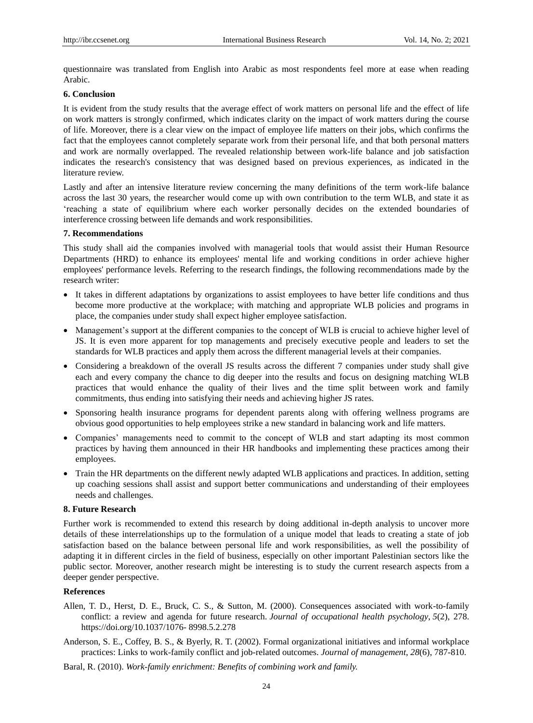questionnaire was translated from English into Arabic as most respondents feel more at ease when reading Arabic.

## **6. Conclusion**

It is evident from the study results that the average effect of work matters on personal life and the effect of life on work matters is strongly confirmed, which indicates clarity on the impact of work matters during the course of life. Moreover, there is a clear view on the impact of employee life matters on their jobs, which confirms the fact that the employees cannot completely separate work from their personal life, and that both personal matters and work are normally overlapped. The revealed relationship between work-life balance and job satisfaction indicates the research's consistency that was designed based on previous experiences, as indicated in the literature review.

Lastly and after an intensive literature review concerning the many definitions of the term work-life balance across the last 30 years, the researcher would come up with own contribution to the term WLB, and state it as ‗reaching a state of equilibrium where each worker personally decides on the extended boundaries of interference crossing between life demands and work responsibilities.

#### **7. Recommendations**

This study shall aid the companies involved with managerial tools that would assist their Human Resource Departments (HRD) to enhance its employees' mental life and working conditions in order achieve higher employees' performance levels. Referring to the research findings, the following recommendations made by the research writer:

- It takes in different adaptations by organizations to assist employees to have better life conditions and thus become more productive at the workplace; with matching and appropriate WLB policies and programs in place, the companies under study shall expect higher employee satisfaction.
- Management's support at the different companies to the concept of WLB is crucial to achieve higher level of JS. It is even more apparent for top managements and precisely executive people and leaders to set the standards for WLB practices and apply them across the different managerial levels at their companies.
- Considering a breakdown of the overall JS results across the different 7 companies under study shall give each and every company the chance to dig deeper into the results and focus on designing matching WLB practices that would enhance the quality of their lives and the time split between work and family commitments, thus ending into satisfying their needs and achieving higher JS rates.
- Sponsoring health insurance programs for dependent parents along with offering wellness programs are obvious good opportunities to help employees strike a new standard in balancing work and life matters.
- Companies' managements need to commit to the concept of WLB and start adapting its most common practices by having them announced in their HR handbooks and implementing these practices among their employees.
- Train the HR departments on the different newly adapted WLB applications and practices. In addition, setting up coaching sessions shall assist and support better communications and understanding of their employees needs and challenges.

## **8. Future Research**

Further work is recommended to extend this research by doing additional in-depth analysis to uncover more details of these interrelationships up to the formulation of a unique model that leads to creating a state of job satisfaction based on the balance between personal life and work responsibilities, as well the possibility of adapting it in different circles in the field of business, especially on other important Palestinian sectors like the public sector. Moreover, another research might be interesting is to study the current research aspects from a deeper gender perspective.

## **References**

- Allen, T. D., Herst, D. E., Bruck, C. S., & Sutton, M. (2000). Consequences associated with work-to-family conflict: a review and agenda for future research. *Journal of occupational health psychology*, *5*(2), 278. [https://doi.org/10.1037/1076-](https://doi.org/10.1037/1076-%208998.5.2.278) 8998.5.2.278
- Anderson, S. E., Coffey, B. S., & Byerly, R. T. (2002). Formal organizational initiatives and informal workplace practices: Links to work-family conflict and job-related outcomes. *Journal of management*, *28*(6), 787-810.
- Baral, R. (2010). *Work-family enrichment: Benefits of combining work and family.*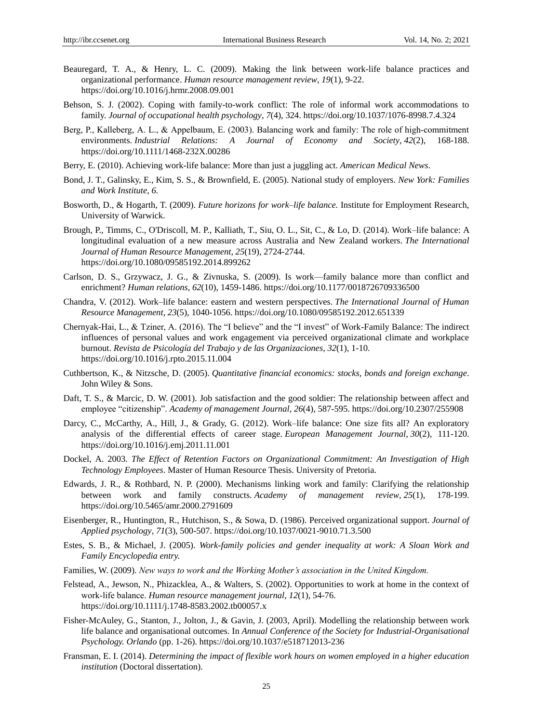- Beauregard, T. A., & Henry, L. C. (2009). Making the link between work-life balance practices and organizational performance. *Human resource management review*, *19*(1), 9-22. <https://doi.org/10.1016/j.hrmr.2008.09.001>
- Behson, S. J. (2002). Coping with family-to-work conflict: The role of informal work accommodations to family. *Journal of occupational health psychology*, *7*(4), 324. [https://doi.org/10.1037/1076-8998.7.4.324](https://psycnet.apa.org/doi/10.1037/1076-8998.7.4.324)
- Berg, P., Kalleberg, A. L., & Appelbaum, E. (2003). Balancing work and family: The role of high-commitment environments. *Industrial Relations: A Journal of Economy and Society*, *42*(2), 168-188. <https://doi.org/10.1111/1468-232X.00286>
- Berry, E. (2010). Achieving work-life balance: More than just a juggling act. *American Medical News*.
- Bond, J. T., Galinsky, E., Kim, S. S., & Brownfield, E. (2005). National study of employers. *New York: Families and Work Institute*, *6.*
- Bosworth, D., & Hogarth, T. (2009). *Future horizons for work–life balance.* Institute for Employment Research, University of Warwick.
- Brough, P., Timms, C., O'Driscoll, M. P., Kalliath, T., Siu, O. L., Sit, C., & Lo, D. (2014). Work–life balance: A longitudinal evaluation of a new measure across Australia and New Zealand workers. *The International Journal of Human Resource Management*, *25*(19), 2724-2744. https://doi.org/10.1080/09585192.2014.899262
- Carlson, D. S., Grzywacz, J. G., & Zivnuska, S. (2009). Is work—family balance more than conflict and enrichment? *Human relations*, *62*(10), 1459-1486. https://doi.org/10.1177/0018726709336500
- Chandra, V. (2012). Work–life balance: eastern and western perspectives. *The International Journal of Human Resource Management*, *23*(5), 1040-1056. <https://doi.org/10.1080/09585192.2012.651339>
- Chernyak-Hai, L., & Tziner, A. (2016). The "I believe" and the "I invest" of Work-Family Balance: The indirect influences of personal values and work engagement via perceived organizational climate and workplace burnout. *Revista de Psicología del Trabajo y de las Organizaciones*, *32*(1), 1-10. [https://doi.org/10.1016/j.rpto.2015.11.004](https://psycnet.apa.org/doi/10.1016/j.rpto.2015.11.004)
- Cuthbertson, K., & Nitzsche, D. (2005). *Quantitative financial economics: stocks, bonds and foreign exchange*. John Wiley & Sons.
- Daft, T. S., & Marcic, D. W. (2001). Job satisfaction and the good soldier: The relationship between affect and employee "citizenship". *Academy of management Journal*, 26(4), 587-595. https://doi.org/10.2307/255908
- Darcy, C., McCarthy, A., Hill, J., & Grady, G. (2012). Work–life balance: One size fits all? An exploratory analysis of the differential effects of career stage. *European Management Journal*, *30*(2), 111-120. https://doi.org/10.1016/j.emj.2011.11.001
- Dockel, A. 2003. *The Effect of Retention Factors on Organizational Commitment: An Investigation of High Technology Employees*. Master of Human Resource Thesis. University of Pretoria.
- Edwards, J. R., & Rothbard, N. P. (2000). Mechanisms linking work and family: Clarifying the relationship between work and family constructs. *Academy of management review*, *25*(1), 178-199. https://doi.org/10.5465/amr.2000.2791609
- Eisenberger, R., Huntington, R., Hutchison, S., & Sowa, D. (1986). Perceived organizational support. *Journal of Applied psychology*, *71*(3), 500-507[. https://doi.org/10.1037/0021-9010.71.3.500](https://doi.org/10.1037/0021-9010.71.3.500)
- Estes, S. B., & Michael, J. (2005). *Work-family policies and gender inequality at work: A Sloan Work and Family Encyclopedia entry.*
- Families, W. (2009). *New ways to work and the Working Mother's association in the United Kingdom.*
- Felstead, A., Jewson, N., Phizacklea, A., & Walters, S. (2002). Opportunities to work at home in the context of work‐life balance. *Human resource management journal*, *12*(1), 54-76. https://doi.org/10.1111/j.1748-8583.2002.tb00057.x
- Fisher-McAuley, G., Stanton, J., Jolton, J., & Gavin, J. (2003, April). Modelling the relationship between work life balance and organisational outcomes. In *Annual Conference of the Society for Industrial-Organisational Psychology. Orlando* (pp. 1-26). https://doi.org/10.1037/e518712013-236
- Fransman, E. I. (2014). *Determining the impact of flexible work hours on women employed in a higher education institution* (Doctoral dissertation).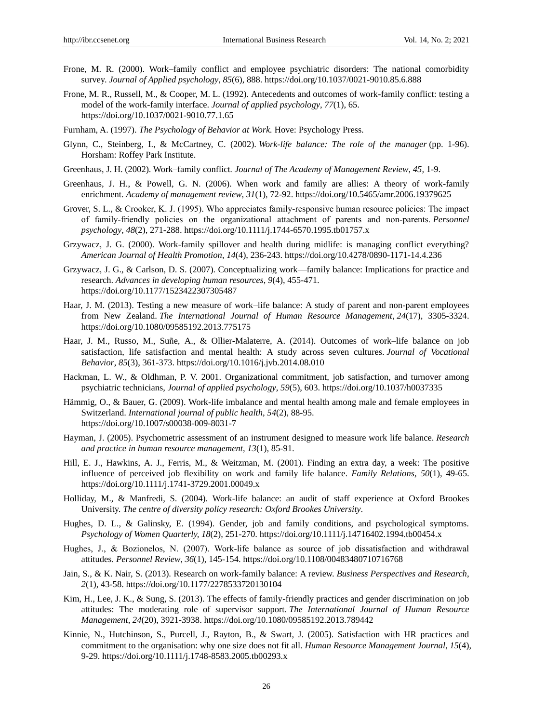- Frone, M. R. (2000). Work–family conflict and employee psychiatric disorders: The national comorbidity survey. *Journal of Applied psychology*, *85*(6), 888. [https://doi.org/10.1037/0021-9010.85.6.888](https://psycnet.apa.org/doi/10.1037/0021-9010.85.6.888)
- Frone, M. R., Russell, M., & Cooper, M. L. (1992). Antecedents and outcomes of work-family conflict: testing a model of the work-family interface. *Journal of applied psychology*, *77*(1), 65. [https://doi.org/10.1037/0021-9010.77.1.65](https://doi.apa.org/doi/10.1037/0021-9010.77.1.65)
- Furnham, A. (1997). *The Psychology of Behavior at Work.* Hove: Psychology Press.
- Glynn, C., Steinberg, I., & McCartney, C. (2002). *Work-life balance: The role of the manager* (pp. 1-96). Horsham: Roffey Park Institute.
- Greenhaus, J. H. (2002). Work–family conflict*. Journal of The Academy of Management Review*, *45,* 1-9.
- Greenhaus, J. H., & Powell, G. N. (2006). When work and family are allies: A theory of work-family enrichment. *Academy of management review*, *31*(1), 72-92. <https://doi.org/10.5465/amr.2006.19379625>
- Grover, S. L., & Crooker, K. J. (1995). Who appreciates family-responsive human resource policies: The impact of family‐friendly policies on the organizational attachment of parents and non‐parents. *Personnel psychology*, *48*(2), 271-288. <https://doi.org/10.1111/j.1744-6570.1995.tb01757.x>
- Grzywacz, J. G. (2000). Work-family spillover and health during midlife: is managing conflict everything? *American Journal of Health Promotion*, *14*(4), 236-243. https://doi.org/10.4278/0890-1171-14.4.236
- Grzywacz, J. G., & Carlson, D. S. (2007). Conceptualizing work—family balance: Implications for practice and research. *Advances in developing human resources*, *9*(4), 455-471. [https://doi.org/10.1177/1523422307305487](https://doi.org/10.1177%2F1523422307305487)
- Haar, J. M. (2013). Testing a new measure of work–life balance: A study of parent and non-parent employees from New Zealand. *The International Journal of Human Resource Management*, *24*(17), 3305-3324. <https://doi.org/10.1080/09585192.2013.775175>
- Haar, J. M., Russo, M., Suñe, A., & Ollier-Malaterre, A. (2014). Outcomes of work–life balance on job satisfaction, life satisfaction and mental health: A study across seven cultures. *Journal of Vocational Behavior*, *85*(3), 361-373. <https://doi.org/10.1016/j.jvb.2014.08.010>
- Hackman, L. W., & Oldhman, P. V. 2001. Organizational commitment, job satisfaction, and turnover among psychiatric technicians, *Journal of applied psychology*, *59*(5), 603. https://doi.org/10.1037/h0037335
- Hämmig, O., & Bauer, G. (2009). Work-life imbalance and mental health among male and female employees in Switzerland. *International journal of public health*, *54*(2), 88-95. <https://doi.org/10.1007/s00038-009-8031-7>
- Hayman, J. (2005). Psychometric assessment of an instrument designed to measure work life balance. *Research and practice in human resource management*, *13*(1), 85-91.
- Hill, E. J., Hawkins, A. J., Ferris, M., & Weitzman, M. (2001). Finding an extra day, a week: The positive influence of perceived job flexibility on work and family life balance. *Family Relations*, *50*(1), 49-65. https://doi.org/10.1111/j.1741-3729.2001.00049.x
- Holliday, M., & Manfredi, S. (2004). Work-life balance: an audit of staff experience at Oxford Brookes University. *The centre of diversity policy research: Oxford Brookes University*.
- Hughes, D. L., & Galinsky, E. (1994). Gender, job and family conditions, and psychological symptoms*. Psychology of Women Quarterly, 18*(2), 251-270.<https://doi.org/10.1111/j.14716402.1994.tb00454.x>
- Hughes, J., & Bozionelos, N. (2007). Work‐life balance as source of job dissatisfaction and withdrawal attitudes. *Personnel Review*, *36*(1), 145-154. <https://doi.org/10.1108/00483480710716768>
- Jain, S., & K. Nair, S. (2013). Research on work-family balance: A review. *Business Perspectives and Research*, *2*(1), 43-58. https://doi.org/10.1177/2278533720130104
- Kim, H., Lee, J. K., & Sung, S. (2013). The effects of family-friendly practices and gender discrimination on job attitudes: The moderating role of supervisor support. *The International Journal of Human Resource Management*, *24*(20), 3921-3938. <https://doi.org/10.1080/09585192.2013.789442>
- Kinnie, N., Hutchinson, S., Purcell, J., Rayton, B., & Swart, J. (2005). Satisfaction with HR practices and commitment to the organisation: why one size does not fit all. *Human Resource Management Journal*, *15*(4), 9-29. <https://doi.org/10.1111/j.1748-8583.2005.tb00293.x>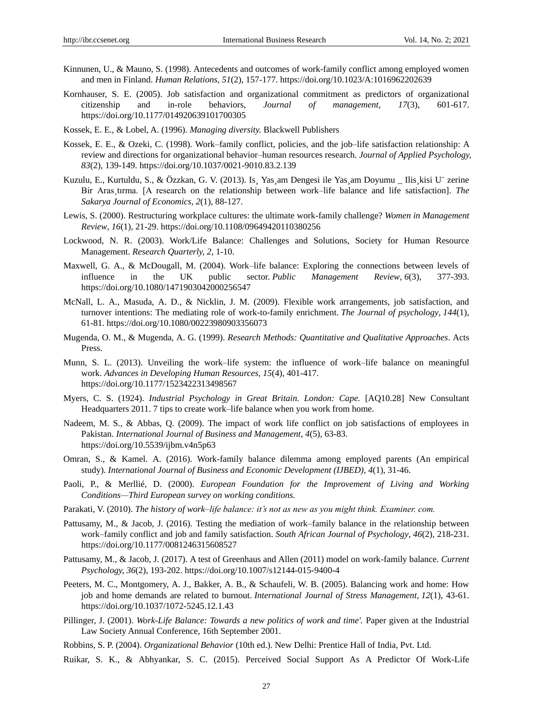- Kinnunen, U., & Mauno, S. (1998). Antecedents and outcomes of work-family conflict among employed women and men in Finland. *Human Relations*, *51*(2), 157-177. [https://doi.org/10.1023/A:1016962202639](https://psycnet.apa.org/doi/10.1023/A:1016962202639)
- Kornhauser, S. E. (2005). Job satisfaction and organizational commitment as predictors of organizational citizenship and in-role behaviors*, Journal of management*, *17*(3), 601-617. https://doi.org/10.1177/014920639101700305
- Kossek, E. E., & Lobel, A. (1996). *Managing diversity.* Blackwell Publishers
- Kossek, E. E., & Ozeki, C. (1998). Work–family conflict, policies, and the job–life satisfaction relationship: A review and directions for organizational behavior–human resources research. *Journal of Applied Psychology, 83*(2), 139-149. [https://doi.org/10.1037/0021-9010.83.2.139](https://doi.apa.org/doi/10.1037/0021-9010.83.2.139)
- Kuzulu, E., Kurtuldu, S., & Özzkan, G. V. (2013). Is Yas am Dengesi ile Yas am Doyumu Ilis kisi U "zerine Bir Aras¸tırma. [A research on the relationship between work–life balance and life satisfaction]. *The Sakarya Journal of Economics, 2*(1), 88-127.
- Lewis, S. (2000). Restructuring workplace cultures: the ultimate work-family challenge? *Women in Management Review*, *16*(1), 21-29. https://doi.org/10.1108/09649420110380256
- Lockwood, N. R. (2003). Work/Life Balance: Challenges and Solutions, Society for Human Resource Management. *Research Quarterly, 2*, 1-10.
- Maxwell, G. A., & McDougall, M. (2004). Work–life balance: Exploring the connections between levels of influence in the UK public sector. *Public Management Review*, *6*(3), 377-393. https://doi.org/10.1080/1471903042000256547
- McNall, L. A., Masuda, A. D., & Nicklin, J. M. (2009). Flexible work arrangements, job satisfaction, and turnover intentions: The mediating role of work-to-family enrichment. *The Journal of psychology*, *144*(1), 61-81. https://doi.org/10.1080/00223980903356073
- Mugenda, O. M., & Mugenda, A. G. (1999). *Research Methods: Quantitative and Qualitative Approaches*. Acts Press.
- Munn, S. L. (2013). Unveiling the work–life system: the influence of work–life balance on meaningful work. *Advances in Developing Human Resources*, *15*(4), 401-417. <https://doi.org/10.1177/1523422313498567>
- Myers, C. S. (1924). *Industrial Psychology in Great Britain. London: Cape.* [AQ10.28] New Consultant Headquarters 2011. 7 tips to create work–life balance when you work from home.
- Nadeem, M. S., & Abbas, Q. (2009). The impact of work life conflict on job satisfactions of employees in Pakistan. *International Journal of Business and Management*, *4*(5), 63-83. https://doi.org/10.5539/ijbm.v4n5p63
- Omran, S., & Kamel. A. (2016). Work-family balance dilemma among employed parents (An empirical study). *International Journal of Business and Economic Development (IJBED)*, *4*(1), 31-46.
- Paoli, P., & Merllié, D. (2000). *European Foundation for the Improvement of Living and Working Conditions—Third European survey on working conditions.*
- Parakati, V. (2010). *The history of work–life balance: it's not as new as you might think. Examiner. com.*
- Pattusamy, M., & Jacob, J. (2016). Testing the mediation of work–family balance in the relationship between work–family conflict and job and family satisfaction. *South African Journal of Psychology*, *46*(2), 218-231. https://doi.org/10.1177/0081246315608527
- Pattusamy, M., & Jacob, J. (2017). A test of Greenhaus and Allen (2011) model on work-family balance. *Current Psychology, 36*(2), 193-202. https://doi.org/10.1007/s12144-015-9400-4
- Peeters, M. C., Montgomery, A. J., Bakker, A. B., & Schaufeli, W. B. (2005). Balancing work and home: How job and home demands are related to burnout. *International Journal of Stress Management*, *12*(1), 43-61. [https://doi.org/10.1037/1072-5245.12.1.43](https://psycnet.apa.org/doi/10.1037/1072-5245.12.1.43)
- Pillinger, J. (2001). *Work-Life Balance: Towards a new politics of work and time'.* Paper given at the Industrial Law Society Annual Conference, 16th September 2001.
- Robbins, S. P. (2004). *Organizational Behavior* (10th ed.). New Delhi: Prentice Hall of India, Pvt. Ltd.
- Ruikar, S. K., & Abhyankar, S. C. (2015). Perceived Social Support As A Predictor Of Work-Life